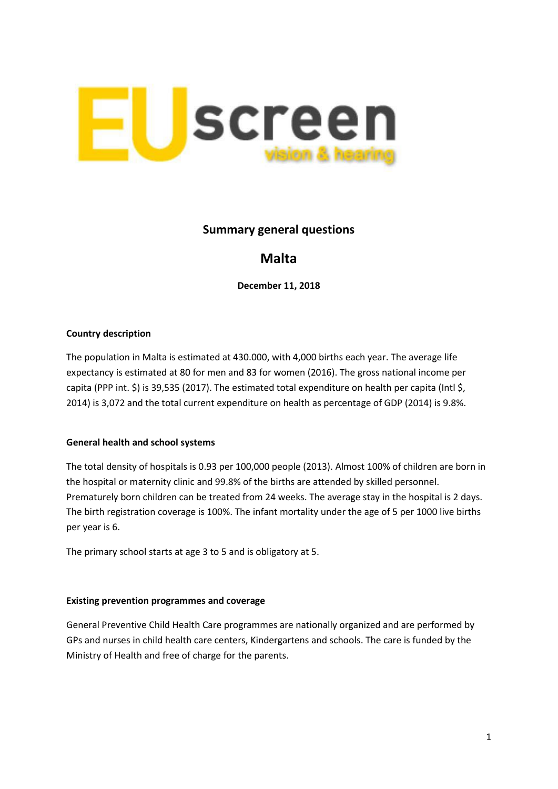

# **Summary general questions**

# **Malta**

**December 11, 2018**

### **Country description**

The population in Malta is estimated at 430.000, with 4,000 births each year. The average life expectancy is estimated at 80 for men and 83 for women (2016). The gross national income per capita (PPP int. \$) is 39,535 (2017). The estimated total expenditure on health per capita (Intl \$, 2014) is 3,072 and the total current expenditure on health as percentage of GDP (2014) is 9.8%.

#### **General health and school systems**

The total density of hospitals is 0.93 per 100,000 people (2013). Almost 100% of children are born in the hospital or maternity clinic and 99.8% of the births are attended by skilled personnel. Prematurely born children can be treated from 24 weeks. The average stay in the hospital is 2 days. The birth registration coverage is 100%. The infant mortality under the age of 5 per 1000 live births per year is 6.

The primary school starts at age 3 to 5 and is obligatory at 5.

#### **Existing prevention programmes and coverage**

General Preventive Child Health Care programmes are nationally organized and are performed by GPs and nurses in child health care centers, Kindergartens and schools. The care is funded by the Ministry of Health and free of charge for the parents.